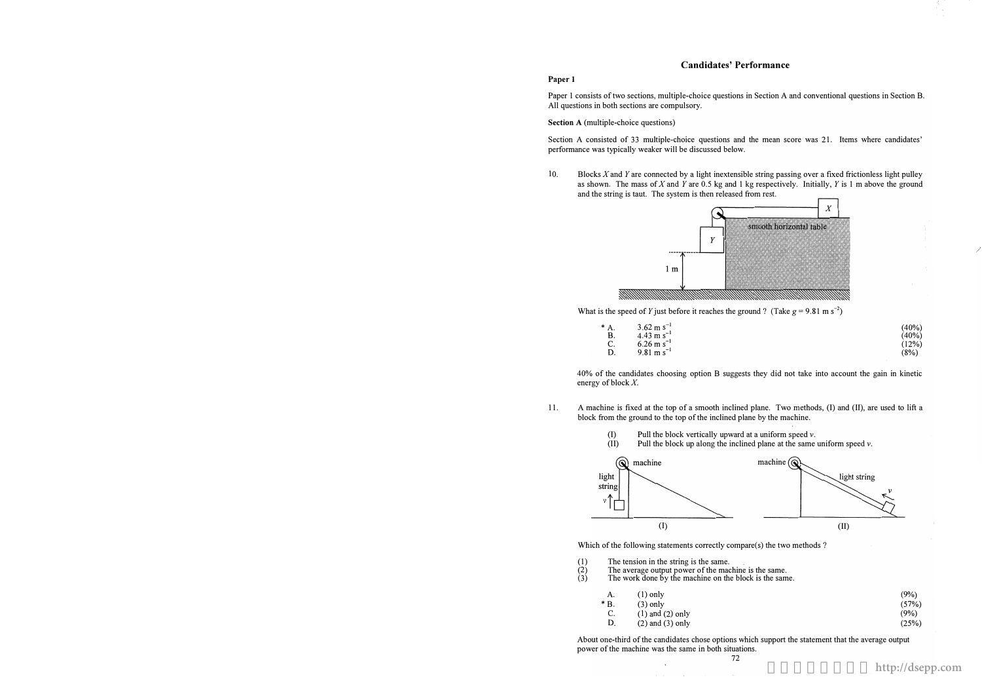## Candidates' Performance

#### Paper 1

Paper 1 consists of two sections, multiple-choice questions in Section A and conventional questions in Section B. All questions in both sections are compulsory.

Section A (multiple-choice questions)

Section A consisted of 33 multiple-choice questions and the mean score was 21. Items where candidates' performance was typically weaker will be discussed below.

10. Blocks X and Y are connected by a light inextensible string passing over a fixed frictionless light pulley and the string is taut. The system is then released from rest.



What is the speed of Y just before it reaches the ground? (Take  $g = 9.81 \text{ m s}^{-2}$ )

40% of the candidates choosing option B suggests they did not take into account the gain in kinetic energy of block  $X$ .

| *  | 3.62 m s <sup>-1</sup>  |
|----|-------------------------|
| В. | $4.43 \text{ m s}^{-1}$ |
|    | $6.26 \text{ m s}^{-1}$ |
| Đ. | $9.81 \text{ m s}^{-1}$ |
|    |                         |

| $(40\%)$ |
|----------|
| $(40\%)$ |
| (12%)    |
| (8%)     |

11. block from the ground to the top of the inclined plane by the machine.

A machine is fixed at the top of a smooth inclined plane. Two methods, (I) and (II), are used to lift a

Pull the block up along the inclined plane at the same uniform speed  $v$ .



Which of the following statements correctly compare(s) the two methods?

- (1) The tension in the string is the same.<br>
(2) The average output power of the mac<br>
(3) The work done by the machine on the The average output power of the machine is the same.
- The work done by the machine on the block is the same.

 $\sim$ 



- A. (1) only (3) only
- \* B. C. (1) and (2) only
- **D.** (2) and (3) only

| $(9\%)$ |
|---------|
| (57%)   |
| $(9\%)$ |
| (25%)   |

About one-third of the candidates chose options which support the statement that the average output power of the machine was the same in both situations. 72

as shown. The mass of  $X$  and  $Y$  are 0.5 kg and 1 kg respectively. Initially,  $Y$  is 1 m above the ground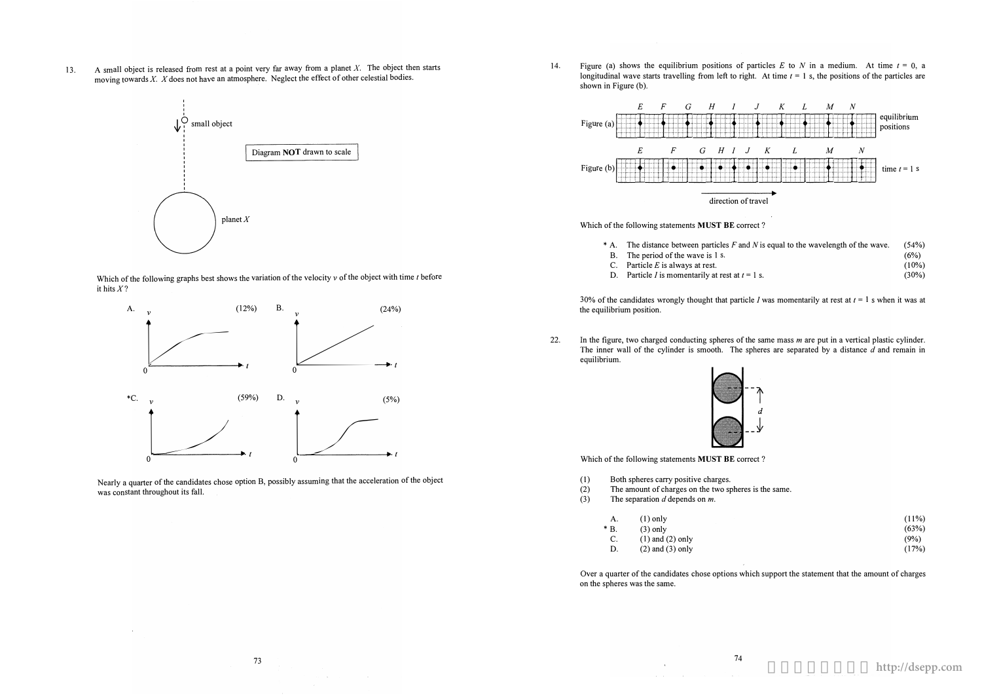A small object is released from rest at a point very far away from a planet  $X$ . The object then starts 13. moving towards  $X$ .  $X$  does not have an atmosphere. Neglect the effect of other celestial bodies.







Nearly a quarter of the candidates chose option B, possibly assuming that the acceleration of the object was constant throughout its fall.

14. shown in Figure (b).



- 
- 
- C. Particle  $E$  is always at rest.
- D. Particle *I* is momentarily at rest at  $t = 1$  s.

30% of the candidates wrongly thought that particle I was momentarily at rest at  $t = 1$  s when it was at the equilibrium position.

22. equilibrium.



Which of the following statements MUST BE correct?

- $(1)$ Both spheres carry positive charges.
- The amount of charges on the two spheres is the same.  $(2)$
- The separation  $d$  depends on  $m$ .  $(3)$

 $\Delta \sim 10^{11}$  m  $^{-1}$  m  $^{-1}$ 

| А.    | $(1)$ only |
|-------|------------|
| $*B.$ | $(3)$ only |

- $(1)$  and  $(2)$  only C.
- D.  $(2)$  and  $(3)$  only

Over a quarter of the candidates chose options which support the statement that the amount of charges on the spheres was the same.

 $\sim 100$  km s  $^{-1}$ 

Figure (a) shows the equilibrium positions of particles E to N in a medium. At time  $t = 0$ , a longitudinal wave starts travelling from left to right. At time  $t = 1$  s, the positions of the particles are

> $(10%)$  $(30%)$

In the figure, two charged conducting spheres of the same mass  $m$  are put in a vertical plastic cylinder. The inner wall of the cylinder is smooth. The spheres are separated by a distance  $d$  and remain in

$$
\begin{array}{c}\n -\uparrow \\
 d \\
 -\downarrow\n \end{array}
$$

| $(11\%)$ |  |
|----------|--|
| (63%)    |  |
| (9%)     |  |
| (17%)    |  |

http://dsepp.com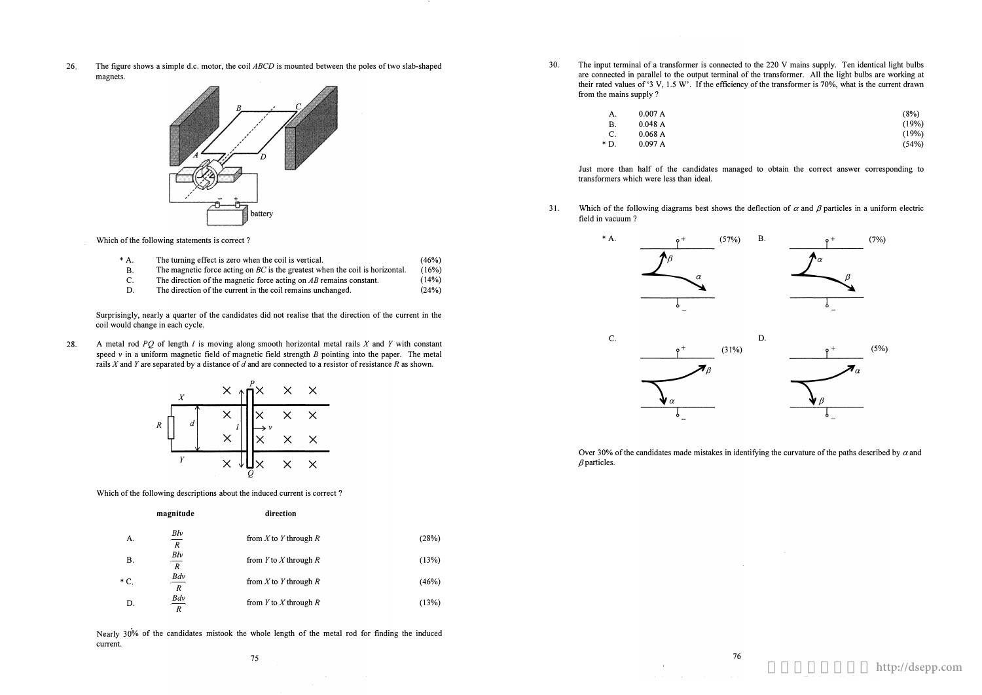26. The figure shows a simple d.c. motor, the coil ABCD is mounted between the poles of two slab-shaped magnets.



Which of the following statements is correct?

28. A metal rod PQ of length  $l$  is moving along smooth horizontal metal rails  $X$  and  $Y$  with constant speed  $\nu$  in a uniform magnetic field of magnetic field strength B pointing into the paper. The metal rails  $X$  and  $Y$  are separated by a distance of  $d$  and are connected to a resistor of resistance  $R$  as shown.

Surprisingly, nearly a quarter of the candidates did not realise that the direction of the current in the coil would change in each cycle.

- \* A. The turning effect is zero when the coil is vertical. (46%)
- B. The magnetic force acting on BC is the greatest when the coil is horizontal.  $(16%)$  $(14%)$
- C. D. The direction of the magnetic force acting on AB remains constant. The direction of the current in the coil remains unchanged. (24%)
- 

 $(8%)$ (19%) (19%) (54%)



Which of the following descriptions about the induced current is correct?

31. Which of the following diagrams best shows the deflection of  $\alpha$  and  $\beta$  particles in a uniform electric field in vacuum ?

magnitude direction

A. B.  $*$  C. D. 耶\_ R 耶\_ R Bdv  $\mathbb{R}$ Bdv  $\overline{R}$ from  $X$  to  $Y$  through  $R$ from  $Y$  to  $X$  through  $R$ from  $X$  to  $Y$  through  $R$ from  $Y$  to  $X$  through  $R$ (28%)  $(13%)$ (46%) (13%)

Nearly 30% of the candidates mistook the whole length of the metal rod for finding the induced current.

30. The input terminal of a transformer is connected to the 220 V mains supply. Ten identical light bulbs are connected in parallel to the output terminal of the transformer. All the light bulbs are working at their rated values of'3 V, 1.5 W'. If the efficiency of the transformer is 70%, what is the current drawn

from the mains supply?

| А. | 0.007 A |
|----|---------|
| В. | 0.048 A |
| C. | 0.068A  |
|    |         |

\* D. 0.097 A

Just more than half of the candidates managed to obtain the correct answer corresponding to transformers which were less than ideal.





 $\beta$  particles.



## Over 30% of the candidates made mistakes in identifying the curvature of the paths described by  $\alpha$  and

更多試卷歡迎瀏覽 **http://dsepp.com**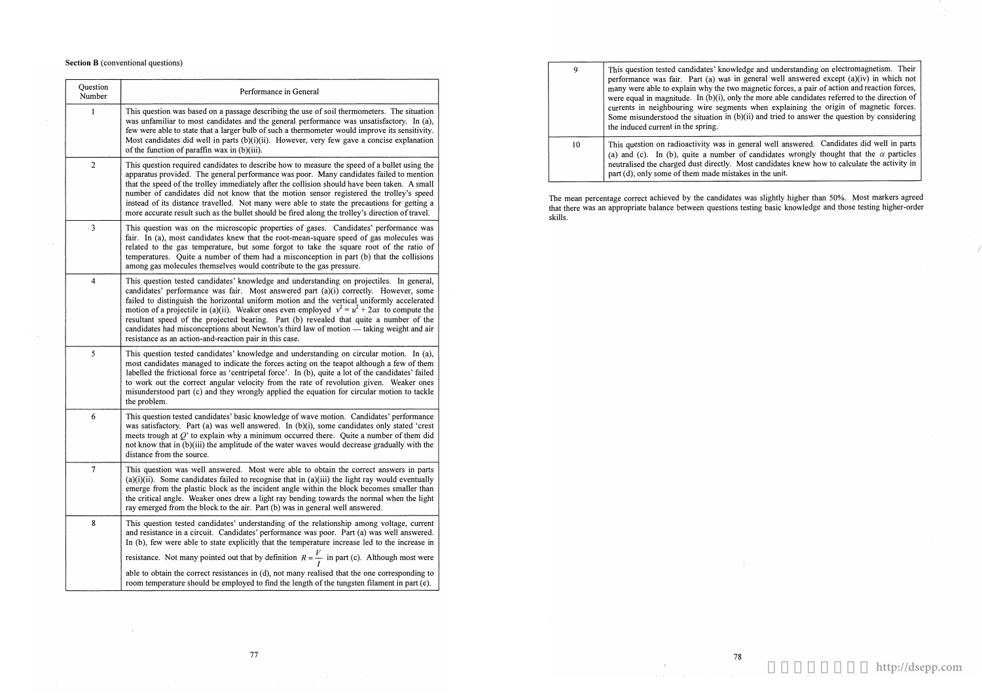The mean percentage correct achieved by the candidates was slightly higher than 50%. Most markers agreed that there was an appropriate balance between questions testing basic knowledge and those testing higher-order skills.

 $\sim 10^{-11}$ 

| 9  | This question tested candidates' knowledge and understanding on electromagnetism. Their<br>performance was fair. Part (a) was in general well answered except (a)(iv) in which not<br>many were able to explain why the two magnetic forces, a pair of action and reaction forces,<br>were equal in magnitude. In $(b)(i)$ , only the more able candidates referred to the direction of<br>currents in neighbouring wire segments when explaining the origin of magnetic forces.<br>Some misunderstood the situation in (b)(ii) and tried to answer the question by considering<br>the induced current in the spring. |
|----|-----------------------------------------------------------------------------------------------------------------------------------------------------------------------------------------------------------------------------------------------------------------------------------------------------------------------------------------------------------------------------------------------------------------------------------------------------------------------------------------------------------------------------------------------------------------------------------------------------------------------|
| 10 | This question on radioactivity was in general well answered. Candidates did well in parts<br>(a) and (c). In (b), quite a number of candidates wrongly thought that the $\alpha$ particles<br>neutralised the charged dust directly. Most candidates knew how to calculate the activity in<br>part (d), only some of them made mistakes in the unit.                                                                                                                                                                                                                                                                  |

### Section B (conventional questions)

| This question was based on a passage describing the use of soil thermometers. The situation<br>was unfamiliar to most candidates and the general performance was unsatisfactory. In (a),<br>few were able to state that a larger bulb of such a thermometer would improve its sensitivity.<br>Most candidates did well in parts $(b)(i)(ii)$ . However, very few gave a concise explanation<br>of the function of paraffin wax in (b)(iii).<br>This question required candidates to describe how to measure the speed of a bullet using the<br>apparatus provided. The general performance was poor. Many candidates failed to mention<br>that the speed of the trolley immediately after the collision should have been taken. A small<br>number of candidates did not know that the motion sensor registered the trolley's speed<br>instead of its distance travelled. Not many were able to state the precautions for getting a<br>more accurate result such as the bullet should be fired along the trolley's direction of travel.<br>This question was on the microscopic properties of gases. Candidates' performance was<br>fair. In (a), most candidates knew that the root-mean-square speed of gas molecules was<br>related to the gas temperature, but some forgot to take the square root of the ratio of<br>temperatures. Quite a number of them had a misconception in part (b) that the collisions<br>among gas molecules themselves would contribute to the gas pressure. |
|-------------------------------------------------------------------------------------------------------------------------------------------------------------------------------------------------------------------------------------------------------------------------------------------------------------------------------------------------------------------------------------------------------------------------------------------------------------------------------------------------------------------------------------------------------------------------------------------------------------------------------------------------------------------------------------------------------------------------------------------------------------------------------------------------------------------------------------------------------------------------------------------------------------------------------------------------------------------------------------------------------------------------------------------------------------------------------------------------------------------------------------------------------------------------------------------------------------------------------------------------------------------------------------------------------------------------------------------------------------------------------------------------------------------------------------------------------------------------------------------|
|                                                                                                                                                                                                                                                                                                                                                                                                                                                                                                                                                                                                                                                                                                                                                                                                                                                                                                                                                                                                                                                                                                                                                                                                                                                                                                                                                                                                                                                                                           |
|                                                                                                                                                                                                                                                                                                                                                                                                                                                                                                                                                                                                                                                                                                                                                                                                                                                                                                                                                                                                                                                                                                                                                                                                                                                                                                                                                                                                                                                                                           |
|                                                                                                                                                                                                                                                                                                                                                                                                                                                                                                                                                                                                                                                                                                                                                                                                                                                                                                                                                                                                                                                                                                                                                                                                                                                                                                                                                                                                                                                                                           |
| This question tested candidates' knowledge and understanding on projectiles. In general,<br>candidates' performance was fair. Most answered part (a)(i) correctly. However, some<br>failed to distinguish the horizontal uniform motion and the vertical uniformly accelerated<br>motion of a projectile in (a)(ii). Weaker ones even employed $v^2 = u^2 + 2as$ to compute the<br>resultant speed of the projected bearing. Part (b) revealed that quite a number of the<br>candidates had misconceptions about Newton's third law of motion - taking weight and air<br>resistance as an action-and-reaction pair in this case.                                                                                                                                                                                                                                                                                                                                                                                                                                                                                                                                                                                                                                                                                                                                                                                                                                                          |
| This question tested candidates' knowledge and understanding on circular motion. In (a),<br>most candidates managed to indicate the forces acting on the teapot although a few of them<br>labelled the frictional force as 'centripetal force'. In (b), quite a lot of the candidates' failed<br>to work out the correct angular velocity from the rate of revolution given. Weaker ones<br>misunderstood part (c) and they wrongly applied the equation for circular motion to tackle<br>the problem.                                                                                                                                                                                                                                                                                                                                                                                                                                                                                                                                                                                                                                                                                                                                                                                                                                                                                                                                                                                    |
| This question tested candidates' basic knowledge of wave motion. Candidates' performance<br>was satisfactory. Part (a) was well answered. In $(b)(i)$ , some candidates only stated 'crest<br>meets trough at $Q'$ to explain why a minimum occurred there. Quite a number of them did<br>not know that in (b)(iii) the amplitude of the water waves would decrease gradually with the<br>distance from the source.                                                                                                                                                                                                                                                                                                                                                                                                                                                                                                                                                                                                                                                                                                                                                                                                                                                                                                                                                                                                                                                                       |
| This question was well answered. Most were able to obtain the correct answers in parts<br>$(a)(i)(ii)$ . Some candidates failed to recognise that in $(a)(iii)$ the light ray would eventually<br>emerge from the plastic block as the incident angle within the block becomes smaller than<br>the critical angle. Weaker ones drew a light ray bending towards the normal when the light<br>ray emerged from the block to the air. Part (b) was in general well answered.                                                                                                                                                                                                                                                                                                                                                                                                                                                                                                                                                                                                                                                                                                                                                                                                                                                                                                                                                                                                                |
| This question tested candidates' understanding of the relationship among voltage, current<br>and resistance in a circuit. Candidates' performance was poor. Part (a) was well answered.<br>In (b), few were able to state explicitly that the temperature increase led to the increase in<br>resistance. Not many pointed out that by definition $R = \frac{V}{I}$ in part (c). Although most were<br>able to obtain the correct resistances in (d), not many realised that the one corresponding to<br>room temperature should be employed to find the length of the tungsten filament in part (e).                                                                                                                                                                                                                                                                                                                                                                                                                                                                                                                                                                                                                                                                                                                                                                                                                                                                                      |
|                                                                                                                                                                                                                                                                                                                                                                                                                                                                                                                                                                                                                                                                                                                                                                                                                                                                                                                                                                                                                                                                                                                                                                                                                                                                                                                                                                                                                                                                                           |

# 更多試卷歡迎瀏覽 **http://dsepp.com**